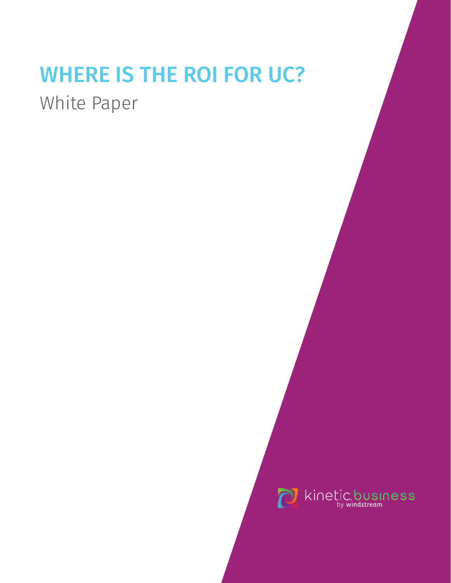# WHERE IS THE ROI FOR UC?

White Paper

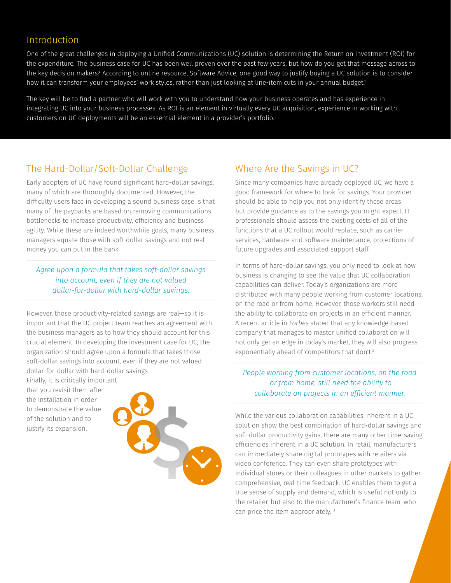#### Introduction

One of the great challenges in deploying a Unified Communications (UC) solution is determining the Return on Investment (ROI) for the expenditure. The business case for UC has been well proven over the past few years, but how do you get that message across to the key decision makers? According to online resource, Software Advice, one good way to justify buying a UC solution is to consider how it can transform your employees' work styles, rather than just looking at line-item cuts in your annual budget.<sup>1</sup>

The key will be to find a partner who will work with you to understand how your business operates and has experience in integrating UC into your business processes. As ROI is an element in virtually every UC acquisition, experience in working with customers on UC deployments will be an essential element in a provider's portfolio.

#### The Hard-Dollar/Soft-Dollar Challenge

Early adopters of UC have found significant hard-dollar savings, many of which are thoroughly documented. However, the difficulty users face in developing a sound business case is that many of the paybacks are based on removing communications bottlenecks to increase productivity, efficiency and business agility. While these are indeed worthwhile goals, many business managers equate those with soft-dollar savings and not real money you can put in the bank.

*Agree upon a formula that takes soft-dollar savings into account, even if they are not valued dollar-for-dollar with hard-dollar savings.* 

However, those productivity-related savings are real—so it is important that the UC project team reaches an agreement with the business managers as to how they should account for this crucial element. In developing the investment case for UC, the organization should agree upon a formula that takes those soft-dollar savings into account, even if they are not valued dollar-for-dollar with hard-dollar savings.

Finally, it is critically important that you revisit them after the installation in order to demonstrate the value of the solution and to justify its expansion.



#### Where Are the Savings in UC?

Since many companies have already deployed UC, we have a good framework for where to look for savings. Your provider should be able to help you not only identify these areas but provide guidance as to the savings you might expect. IT professionals should assess the existing costs of all of the functions that a UC rollout would replace, such as carrier services, hardware and software maintenance, projections of future upgrades and associated support staff.

In terms of hard-dollar savings, you only need to look at how business is changing to see the value that UC collaboration capabilities can deliver. Today's organizations are more distributed with many people working from customer locations, on the road or from home. However, those workers still need the ability to collaborate on projects in an efficient manner. A recent article in *Forbes* stated that any knowledge-based company that manages to master unified collaboration will not only get an edge in today's market, they will also progress exponentially ahead of competitors that don't.<sup>2</sup>

*People working from customer locations, on the road or from home, still need the ability to collaborate on projects in an efficient manner.* 

While the various collaboration capabilities inherent in a UC solution show the best combination of hard-dollar savings and soft-dollar productivity gains, there are many other time-saving efficiencies inherent in a UC solution. In retail, manufacturers can immediately share digital prototypes with retailers via video conference. They can even share prototypes with individual stores or their colleagues in other markets to gather comprehensive, real-time feedback. UC enables them to get a true sense of supply and demand, which is useful not only to the retailer, but also to the manufacturer's finance team, who can price the item appropriately. <sup>3</sup>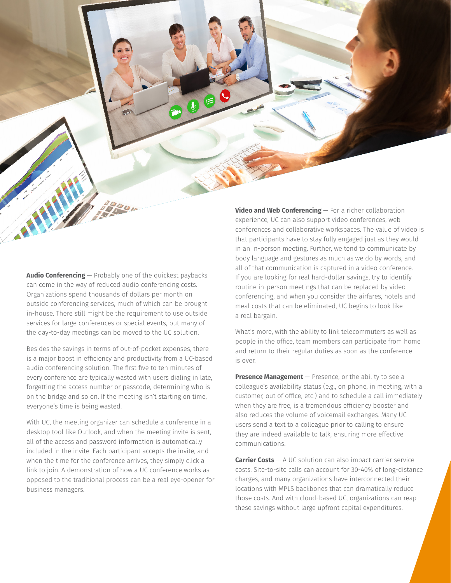**Audio Conferencing** — Probably one of the quickest paybacks can come in the way of reduced audio conferencing costs. Organizations spend thousands of dollars per month on outside conferencing services, much of which can be brought in-house. There still might be the requirement to use outside services for large conferences or special events, but many of the day-to-day meetings can be moved to the UC solution.

Besides the savings in terms of out-of-pocket expenses, there is a major boost in efficiency and productivity from a UC-based audio conferencing solution. The first five to ten minutes of every conference are typically wasted with users dialing in late, forgetting the access number or passcode, determining who is on the bridge and so on. If the meeting isn't starting on time, everyone's time is being wasted.

With UC, the meeting organizer can schedule a conference in a desktop tool like Outlook, and when the meeting invite is sent, all of the access and password information is automatically included in the invite. Each participant accepts the invite, and when the time for the conference arrives, they simply click a link to join. A demonstration of how a UC conference works as opposed to the traditional process can be a real eye-opener for business managers.

**Video and Web Conferencing** — For a richer collaboration experience, UC can also support video conferences, web conferences and collaborative workspaces. The value of video is that participants have to stay fully engaged just as they would in an in-person meeting. Further, we tend to communicate by body language and gestures as much as we do by words, and all of that communication is captured in a video conference. If you are looking for real hard-dollar savings, try to identify routine in-person meetings that can be replaced by video conferencing, and when you consider the airfares, hotels and meal costs that can be eliminated, UC begins to look like a real bargain.

What's more, with the ability to link telecommuters as well as people in the office, team members can participate from home and return to their regular duties as soon as the conference is over.

**Presence Management** — Presence, or the ability to see a colleague's availability status (e.g., on phone, in meeting, with a customer, out of office, etc.) and to schedule a call immediately when they are free, is a tremendous efficiency booster and also reduces the volume of voicemail exchanges. Many UC users send a text to a colleague prior to calling to ensure they are indeed available to talk, ensuring more effective communications.

**Carrier Costs** — A UC solution can also impact carrier service costs. Site-to-site calls can account for 30-40% of long-distance charges, and many organizations have interconnected their locations with MPLS backbones that can dramatically reduce those costs. And with cloud-based UC, organizations can reap these savings without large upfront capital expenditures.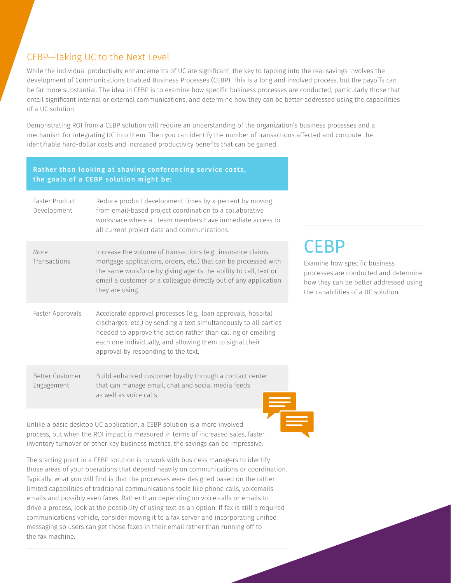## CEBP—Taking UC to the Next Level

While the individual productivity enhancements of UC are significant, the key to tapping into the real savings involves the development of Communications Enabled Business Processes (CEBP). This is a long and involved process, but the payoffs can be far more substantial. The idea in CEBP is to examine how specific business processes are conducted, particularly those that entail significant internal or external communications, and determine how they can be better addressed using the capabilities of a UC solution.

Demonstrating ROI from a CEBP solution will require an understanding of the organization's business processes and a mechanism for integrating UC into them. Then you can identify the number of transactions affected and compute the identifiable hard-dollar costs and increased productivity benefits that can be gained.

#### Rather than looking at shaving conferencing service costs, the goals of a CEBP solution might be:

| Faster Product<br>Development | Reduce product development times by x-percent by moving<br>from email-based project coordination to a collaborative<br>workspace where all team members have immediate access to<br>all current project data and communications.                                                                      |
|-------------------------------|-------------------------------------------------------------------------------------------------------------------------------------------------------------------------------------------------------------------------------------------------------------------------------------------------------|
| More<br>Transactions          | Increase the volume of transactions (e.g., insurance claims,<br>mortgage applications, orders, etc.) that can be processed with<br>the same workforce by giving agents the ability to call, text or<br>email a customer or a colleague directly out of any application<br>they are using.             |
| Faster Approvals              | Accelerate approval processes (e.g., loan approvals, hospital<br>discharges, etc.) by sending a text simultaneously to all parties<br>needed to approve the action rather than calling or emailing<br>each one individually, and allowing them to signal their<br>approval by responding to the text. |
| Better Customer<br>Engagement | Build enhanced customer loyalty through a contact center<br>that can manage email, chat and social media feeds<br>as well as voice calls                                                                                                                                                              |

Unlike a basic desktop UC application, a CEBP solution is a more involved process, but when the ROI impact is measured in terms of increased sales, faster inventory turnover or other key business metrics, the savings can be impressive.

The starting point in a CEBP solution is to work with business managers to identify those areas of your operations that depend heavily on communications or coordination. Typically, what you will find is that the processes were designed based on the rather limited capabilities of traditional communications tools like phone calls, voicemails, emails and possibly even faxes. Rather than depending on voice calls or emails to drive a process, look at the possibility of using text as an option. If fax is still a required communications vehicle, consider moving it to a fax server and incorporating unified messaging so users can get those faxes in their email rather than running off to the fax machine.

# **CEBP**

Examine how specific business processes are conducted and determine how they can be better addressed using the capabilities of a UC solution.